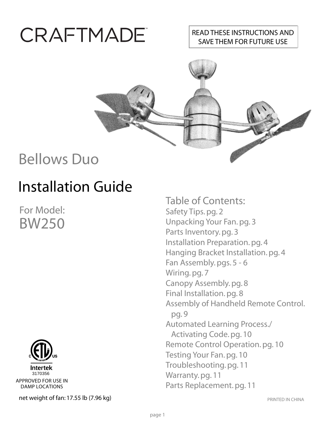# **CRAFTMADE**

#### READ THESE INSTRUCTIONS AND SAVE THEM FOR FUTURE USE



## Bellows Duo

# Installation Guide

For Model: BW250



**net weight of fan: 17.55 lb (7.96 kg)** PRINTED IN CHINA DAMP LOCATIONS

Table of Contents: Safety Tips. pg. 2 Unpacking Your Fan. pg. 3 Parts Inventory. pg. 3 Installation Preparation. pg. 4 Hanging Bracket Installation. pg. 4 Fan Assembly. pgs. 5 - 6 Wiring. pg. 7 Canopy Assembly. pg. 8 Final Installation. pg. 8 Assembly of Handheld Remote Control. pg. 9 Automated Learning Process./ Activating Code. pg. 10 Remote Control Operation. pg. 10 Testing Your Fan. pg. 10 Troubleshooting. pg. 11 Warranty. pg. 11 Parts Replacement. pg. 11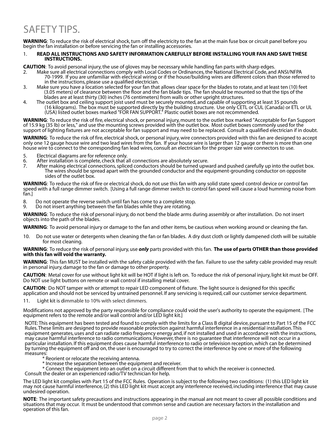### SAFETY TIPS.

**WARNING**: To reduce the risk of electrical shock, turn off the electricity to the fan at the main fuse box or circuit panel before you begin the fan installation or before servicing the fan or installing accessories.

#### 1. **READ ALL INSTRUCTIONS AND SAFETY INFORMATION CAREFULLY BEFORE INSTALLING YOUR FAN AND SAVE THESE INSTRUCTIONS.**

**CAUTION**: To avoid personal injury, the use of gloves may be necessary while handling fan parts with sharp edges.

- 2. Make sure all electrical connections comply with Local Codes or Ordinances, the National Electrical Code, and ANSI/NFPA 70-1999. If you are unfamiliar with electrical wiring or if the house/building wires are different colors than those referred to in the instructions, please use a qualified electrician.
- 3. Make sure you have a location selected for your fan that allows clear space for the blades to rotate, and at least ten (10) feet (3.05 meters) of clearance between the floor and the fan blade tips. The fan should be mounted so that the tips of the blades are at least thirty (30) inches (76 centimeters) from walls or other upright structures.
- 4. The outlet box and ceiling support joist used must be securely mounted, and capable of supporting at least 35 pounds (16 kilograms). The box must be supported directly by the building structure. Use only CETL or CUL (Canada) or ETL or UL (USA) listed outlet boxes marked "FOR FAN SUPPORT." Plastic outlet boxes are not recommended.

**WARNING**: To reduce the risk of fire, electrical shock, or personal injury, mount to the outlet box marked "Acceptable for Fan Support of 15.9 kg (35 lb) or less," and use the mounting screws provided with the outlet box. Most outlet boxes commonly used for the support of lighting fixtures are not acceptable for fan support and may need to be replaced. Consult a qualified electrician if in doubt.

**WARNING**: To reduce the risk of fire, electrical shock, or personal injury, wire connectors provided with this fan are designed to accept only one 12 gauge house wire and two lead wires from the fan. If your house wire is larger than 12 gauge or there is more than one house wire to connect to the corresponding fan lead wires, consult an electrician for the proper size wire connectors to use.

- 5. Electrical diagrams are for reference only.<br>6. After installation is complete, check that a
- 6. After installation is complete, check that all connections are absolutely secure.
- After making electrical connections, spliced conductors should be turned upward and pushed carefully up into the outlet box. The wires should be spread apart with the grounded conductor and the equipment-grounding conductor on opposite sides of the outlet box.

**WARNING**: To reduce the risk of fire or electrical shock, do not use this fan with any solid state speed control device or control fan speed with a full range dimmer switch. [Using a full range dimmer switch to control fan speed will cause a loud humming noise from fan.]

- 8. Do not operate the reverse switch until fan has come to a complete stop.
- Do not insert anything between the fan blades while they are rotating. 9.

**WARNING**: To reduce the risk of personal injury, do not bend the blade arms during assembly or after installation. Do not insert objects into the path of the blades.

**WARNING**: To avoid personal injury or damage to the fan and other items, be cautious when working around or cleaning the fan.

10. Do not use water or detergents when cleaning the fan or fan blades. A dry dust cloth or lightly dampened cloth will be suitable for most cleaning.

#### **WARNING**: To reduce the risk of personal injury, use *only* parts provided with this fan. **The use of parts OTHER than those provided with this fan will void the warranty.**

**WARNING**: This fan MUST be installed with the safety cable provided with the fan. Failure to use the safety cable provided may result in personal injury, damage to the fan or damage to other property.

**CAUTION**: Metal cover for use without light kit will be HOT if light is left on. To reduce the risk of personal injury, light kit must be OFF. Do NOT use light buttons on remote or wall control if installing metal cover.

**CAUTION**: Do NOT tamper with or attempt to repair LED component of fixture. The light source is designed for this specific application and should not be serviced by untrained personnel. If any servicing is required, call our customer service department.<br>11. I light kit is dimmable to 10% with select dimmers.

Light kit is dimmable to 10% with select dimmers.

Modifications not approved by the party responsible for compliance could void the user's authority to operate the equipment. [The equipment refers to the remote and/or wall control and/or LED light kit.]

NOTE: This equipment has been tested and found to comply with the limits for a Class B digital device, pursuant to Part 15 of the FCC Rules. These limits are designed to provide reasonable protection against harmful interference in a residential installation. This equipment generates, uses and can radiate radio frequency energy and, if not installed and used in accordance with the instructions, may cause harmful interference to radio communications. However, there is no guarantee that interference will not occur in a particular installation. If this equipment does cause harmful interference to radio or television reception, which can be determined by turning the equipment off and on, the user is encouraged to try to correct the interference by one or more of the following measures:

- \* Reorient or relocate the receiving antenna.
- \* Increase the separation between the equipment and receiver.
- \* Connect the equipment into an outlet on a circuit different from that to which the receiver is connected.

Consult the dealer or an experienced radio/TV technician for help.

The LED light kit complies with Part 15 of the FCC Rules. Operation is subject to the following two conditions: (1) this LED light kit may not cause harmful interference, (2) this LED light kit must accept any interference received, including interference that may cause undesired operation.

**NOTE**: The important safety precautions and instructions appearing in the manual are not meant to cover all possible conditions and situations that may occur. It must be understood that common sense and caution are necessary factors in the installation and operation of this fan.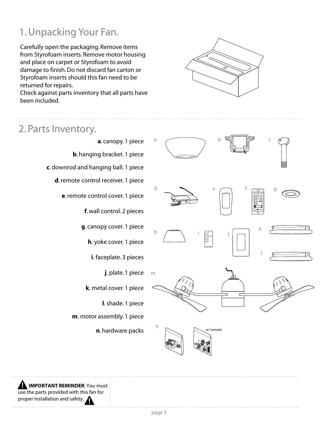### 1. Unpacking Your Fan.

Carefully open the packaging. Remove items from Styrofoam inserts. Remove motor housing and place on carpet or Styrofoam to avoid damage to finish. Do not discard fan carton or Styrofoam inserts should this fan need to be returned for repairs.

Check against parts inventory that all parts have been included.



#### 2. Parts Inventory.



 **IMPORTANT REMINDER**: You must use the parts provided with this fan for proper installation and safety.

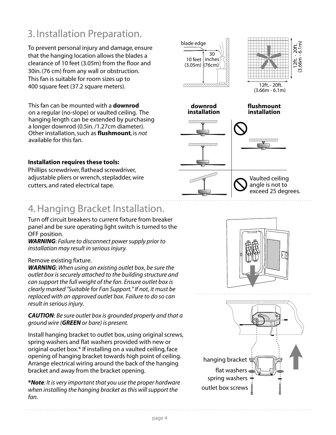### 3. Installation Preparation.

blade edge<br> **blade edge** To prevent personal injury and damage, ensure that the hanging location allows the blades a clearance of 10 feet (3.05m) from the floor and 30in. (76 cm) from any wall or obstruction. This fan is suitable for room sizes up to 400 square feet (37.2 square meters).

This fan can be mounted with a **downrod** on a regular (no-slope) or vaulted ceiling. The hanging length can be extended by purchasing a longer downrod (0.5in. /1.27cm diameter). Other installation, such as **flushmount**, is *not* available for this fan.

#### **Installation requires these tools:**

Phillips screwdriver, flathead screwdriver, adjustable pliers or wrench, stepladder, wire cutters, and rated electrical tape.

### 4. Hanging Bracket Installation.

Turn off circuit breakers to current fixture from breaker panel and be sure operating light switch is turned to the OFF position.

*WARNING*: *Failure to disconnect power supply prior to installation may result in serious injury.*

#### Remove existing fixture.

*WARNING*: *When using an existing outlet box, be sure the outlet box is securely attached to the building structure and can support the full weight of the fan. Ensure outlet box is clearly marked "Suitable for Fan Support." If not, it must be replaced with an approved outlet box. Failure to do so can result in serious injury.*

*CAUTION*: *Be sure outlet box is grounded properly and that a ground wire (GREEN or bare) is present.*

Install hanging bracket to outlet box, using original screws, spring washers and flat washers provided with new or original outlet box.\* If installing on a vaulted ceiling, face opening of hanging bracket towards high point of ceiling. Arrange electrical wiring around the back of the hanging bracket and away from the bracket opening.

**\****Note: It is very important that you use the proper hardware when installing the hanging bracket as this will support the fan.*





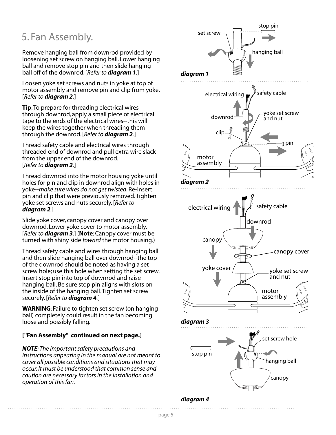#### 5. Fan Assembly.

Remove hanging ball from downrod provided by loosening set screw on hanging ball. Lower hanging ball and remove stop pin and then slide hanging ball off of the downrod. [*Refer to diagram 1.*]

Loosen yoke set screws and nuts in yoke at top of motor assembly and remove pin and clip from yoke. [*Refer to diagram 2.*]

**Tip**: To prepare for threading electrical wires through downrod, apply a small piece of electrical tape to the ends of the electrical wires--this will keep the wires together when threading them through the downrod. [*Refer to diagram 2.*]

Thread safety cable and electrical wires through threaded end of downrod and pull extra wire slack from the upper end of the downrod. [*Refer to diagram 2.*]

Thread downrod into the motor housing yoke until holes for pin and clip in downrod align with holes in yoke--*make sure wires do not get twisted*. Re-insert pin and clip that were previously removed. Tighten yoke set screws and nuts securely. [*Refer to diagram 2.*]

Slide yoke cover, canopy cover and canopy over downrod. Lower yoke cover to motor assembly. [*Refer to diagram 3.*] (**Note**: Canopy cover must be turned with shiny side *toward* the motor housing.)

Thread safety cable and wires through hanging ball and then slide hanging ball over downrod--the top of the downrod should be noted as having a set screw hole; use this hole when setting the set screw. Insert stop pin into top of downrod and raise hanging ball. Be sure stop pin aligns with slots on the inside of the hanging ball. Tighten set screw securely. [*Refer to diagram 4.*]

**WARNING**: Failure to tighten set screw (on hanging ball) completely could result in the fan becoming loose and possibly falling.

#### **["Fan Assembly" continued on next page.]**

*NOTE: The important safety precautions and instructions appearing in the manual are not meant to cover all possible conditions and situations that may occur. It must be understood that common sense and caution are necessary factors in the installation and operation of this fan.*



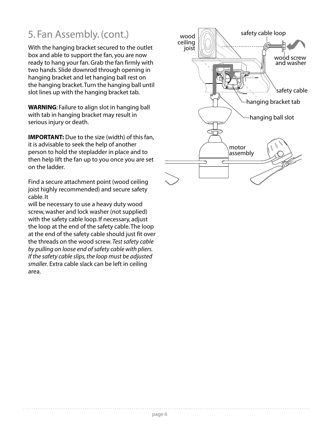### 5. Fan Assembly. (cont.)

With the hanging bracket secured to the outlet box and able to support the fan, you are now ready to hang your fan. Grab the fan firmly with two hands. Slide downrod through opening in hanging bracket and let hanging ball rest on the hanging bracket. Turn the hanging ball until slot lines up with the hanging bracket tab.

**WARNING**: Failure to align slot in hanging ball with tab in hanging bracket may result in serious injury or death.

**IMPORTANT:** Due to the size (width) of this fan, it is advisable to seek the help of another person to hold the stepladder in place and to then help lift the fan up to you once you are set on the ladder.

Find a secure attachment point (wood ceiling joist highly recommended) and secure safety cable. It

will be necessary to use a heavy duty wood screw, washer and lock washer (not supplied) with the safety cable loop. If necessary, adjust the loop at the end of the safety cable. The loop at the end of the safety cable should just fit over the threads on the wood screw. *Test safety cable by pulling on loose end of safety cable with pliers. If the safety cable slips, the loop must be adjusted smaller.* Extra cable slack can be left in ceiling area.

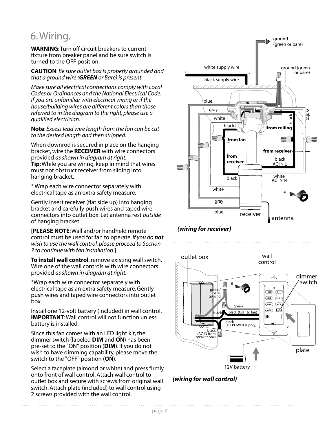#### 6. Wiring.

**WARNING**: Turn off circuit breakers to current fixture from breaker panel and be sure switch is turned to the OFF position.

**CAUTION**: *Be sure outlet box is properly grounded and that a ground wire (GREEN or Bare) is present.*

*Make sure all electrical connections comply with Local Codes or Ordinances and the National Electrical Code. If you are unfamiliar with electrical wiring or if the house/building wires are different colors than those referred to in the diagram to the right, please use a qualified electrician.*

**Note**: *Excess lead wire length from the fan can be cut to the desired length and then stripped.*

When downrod is secured in place on the hanging bracket, wire the **RECEIVER** with wire connectors provided *as shown in diagram at right.* **Tip**: While you are wiring, keep in mind that wires must not obstruct receiver from sliding into hanging bracket.

\* Wrap each wire connector separately with electrical tape as an extra safety measure.

Gently insert receiver (flat side up) into hanging bracket and carefully push wires and taped wire connectors into outlet box. Let antenna rest *outside*  of hanging bracket.

[**PLEASE NOTE**: Wall and/or handheld remote control must be used for fan to operate. *If you do not wish to use the wall control, please proceed to Section 7 to continue with fan installation.*]

**To install wall control**, remove existing wall switch. Wire one of the wall controls with wire connectors provided *as shown in diagram at right.*

\*Wrap each wire connector separately with electrical tape as an extra safety measure. Gently push wires and taped wire connectors into outlet box.

Install one 12-volt battery (included) in wall control. **IMPORTANT**: Wall control will not function unless battery is installed.

Since this fan comes with an LED light kit, the dimmer switch (labeled **DIM** and **ON**) has been pre-set to the "ON" position (**DIM**). If you do not wish to have dimming capability, please move the switch to the "OFF" position (**ON**).

Select a faceplate (almond or white) and press firmly onto front of wall control. Attach wall control to outlet box and secure with screws from original wall switch. Attach plate (included) to wall control using 2 screws provided with the wall control.



*(wiring for receiver)*





page 7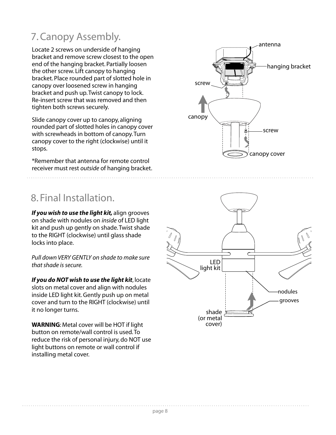### 7. Canopy Assembly.

Locate 2 screws on underside of hanging bracket and remove screw closest to the open end of the hanging bracket. Partially loosen the other screw. Lift canopy to hanging bracket. Place rounded part of slotted hole in canopy over loosened screw in hanging bracket and push up. Twist canopy to lock. Re-insert screw that was removed and then tighten both screws securely.

Slide canopy cover up to canopy, aligning rounded part of slotted holes in canopy cover with screwheads in bottom of canopy. Turn canopy cover to the right (clockwise) until it stops.

\*Remember that antenna for remote control receiver must rest *outside* of hanging bracket.

### 8. Final Installation.

*If you wish to use the light kit,* align grooves on shade with nodules on *inside* of LED light kit and push up gently on shade. Twist shade to the RIGHT (clockwise) until glass shade locks into place.

*Pull down VERY GENTLY on shade to make sure that shade is secure.* 

*If you do NOT wish to use the light kit*, locate slots on metal cover and align with nodules inside LED light kit. Gently push up on metal cover and turn to the RIGHT (clockwise) until it no longer turns.

**WARNING**: Metal cover will be HOT if light button on remote/wall control is used. To reduce the risk of personal injury, do NOT use light buttons on remote or wall control if installing metal cover.



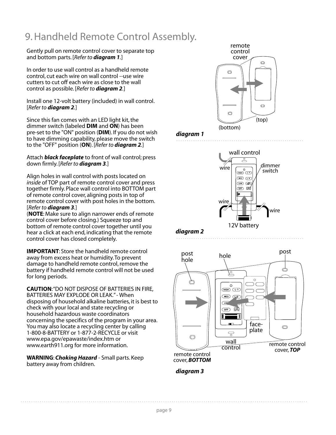### 9. Handheld Remote Control Assembly.

Gently pull on remote control cover to separate top and bottom parts. [*Refer to diagram 1.*]

In order to use wall control as a handheld remote control, cut each wire on wall control --use wire cutters to cut off each wire as close to the wall control as possible. [*Refer to diagram 2.*]

Install one 12-volt battery (included) in wall control. [*Refer to diagram 2.*]

Since this fan comes with an LED light kit, the dimmer switch (labeled **DIM** and **ON**) has been pre-set to the "ON" position (**DIM**). If you do not wish to have dimming capability, please move the switch to the "OFF" position (**ON**). [*Refer to diagram 2.*]

Attach *black faceplate* to front of wall control; press down firmly. [*Refer to diagram 3.*]

Align holes in wall control with posts located on *inside* of TOP part of remote control cover and press together firmly. Place wall control into BOTTOM part of remote control cover, aligning posts in top of remote control cover with post holes in the bottom. [*Refer to diagram 3.*]

(**NOTE**: Make sure to align narrower ends of remote control cover before closing.) Squeeze top and bottom of remote control cover together until you hear a click at each end, indicating that the remote control cover has closed completely.

**IMPORTANT**: Store the handheld remote control away from excess heat or humidity. To prevent damage to handheld remote control, remove the battery if handheld remote control will not be used for long periods.

**CAUTION**: "DO NOT DISPOSE OF BATTERIES IN FIRE, BATTERIES MAY EXPLODE OR LEAK." - When disposing of household alkaline batteries, it is best to check with your local and state recycling or household hazardous waste coordinators concerning the specifics of the program in your area. You may also locate a recycling center by calling 1-800-8-BATTERY or 1-877-2-RECYCLE or visit www.epa.gov/epawaste/index.htm or www.earth911.org for more information.

**WARNING**: *Choking Hazard* - Small parts. Keep battery away from children.



#### *diagram 1*



*diagram 2*





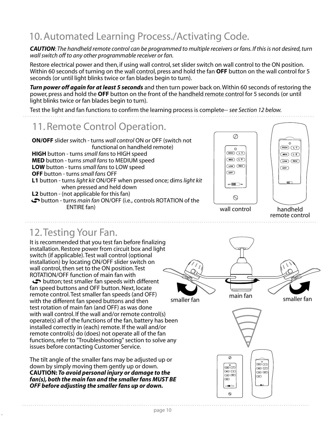### 10. Automated Learning Process./Activating Code.

*CAUTION*: *The handheld remote control can be programmed to multiple receivers or fans. If this is not desired, turn wall switch off to any other programmable receiver or fan.*

Restore electrical power and then, if using wall control, set slider switch on wall control to the ON position. Within 60 seconds of turning on the wall control, press and hold the fan **OFF** button on the wall control for 5 seconds (or until light blinks twice or fan blades begin to turn).

*Turn power off again for at least 5 seconds* and then turn power back on. Within 60 seconds of restoring the power, press and hold the **OFF** button on the front of the handheld remote control for 5 seconds (or until light blinks twice or fan blades begin to turn).

Test the light and fan functions to confirm the learning process is complete-- *see Section 12 below.*

#### 11. Remote Control Operation.







remote control

#### 12. Testing Your Fan.

It is recommended that you test fan before finalizing installation. Restore power from circuit box and light switch (if applicable). Test wall control (optional installation) by locating ON/OFF slider switch on wall control, then set to the ON position. Test ROTATION/OFF function of main fan with

 button; test smaller fan speeds with different fan speed buttons and OFF button. Next, locate remote control. Test smaller fan speeds (and OFF) with the different fan speed buttons and then test rotation of main fan (and OFF) as was done with wall control. If the wall and/or remote control(s) operate(s) all of the functions of the fan, battery has been installed correctly in (each) remote. If the wall and/or remote control(s) do (does) not operate all of the fan functions, refer to "Troubleshooting" section to solve any issues before contacting Customer Service.

The tilt angle of the smaller fans may be adjusted up or down by simply moving them gently up or down. **CAUTION:** *To avoid personal injury or damage to the fan(s), both the main fan and the smaller fans MUST BE OFF before adjusting the smaller fans up or down.*



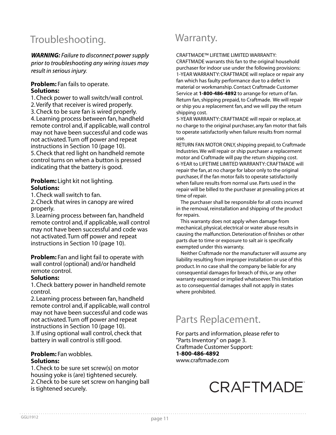### Troubleshooting.

**WARNING:** Failure to disconnect power supply prior to troubleshooting any wiring issues may result in serious injury.

#### **Problem:** Fan fails to operate. **Solutions:**

1. Check power to wall switch/wall control. 2. Verify that receiver is wired properly. 3. Check to be sure fan is wired properly. 4. Learning process between fan, handheld remote control and, if applicable, wall control may not have been successful and code was not activated. Turn off power and repeat instructions in Section 10 (page 10). 5. Check that red light on handheld remote control turns on when a button is pressed indicating that the battery is good.

#### **Problem:** Light kit not lighting. **Solutions:**

1. Check wall switch to fan.

2. Check that wires in canopy are wired properly.

3. Learning process between fan, handheld remote control and, if applicable, wall control may not have been successful and code was not activated. Turn off power and repeat instructions in Section 10 (page 10).

**Problem:** Fan and light fail to operate with wall control (optional) and/or handheld remote control.

#### **Solutions:**

1. Check battery power in handheld remote control.

2. Learning process between fan, handheld remote control and, if applicable, wall control may not have been successful and code was not activated. Turn off power and repeat instructions in Section 10 (page 10). 3. If using optional wall control, check that battery in wall control is still good.

#### **Problem:** Fan wobbles. **Solutions:**

1. Check to be sure set screw(s) on motor housing yoke is (are) tightened securely. 2. Check to be sure set screw on hanging ball is tightened securely.

### Warranty.

CRAFTMADE™ LIFETIME LIMITED WARRANTY:

CRAFTMADE warrants this fan to the original household purchaser for indoor use under the following provisions: 1-YEAR WARRANTY: CRAFTMADE will replace or repair any fan which has faulty performance due to a defect in material or workmanship. Contact Craftmade Customer Service at **1-800-486-4892** to arrange for return of fan. Return fan, shipping prepaid, to Craftmade. We will repair or ship you a replacement fan, and we will pay the return shipping cost.

5-YEAR WARRANTY: CRAFTMADE will repair or replace, at no charge to the original purchaser, any fan motor that fails to operate satisfactorily when failure results from normal use.

RETURN FAN MOTOR ONLY, shipping prepaid, to Craftmade Industries. We will repair or ship purchaser a replacement motor and Craftmade will pay the return shipping cost. 6-YEAR to LIFETIME LIMITED WARRANTY: CRAFTMADE will repair the fan, at no charge for labor only to the original purchaser, if the fan motor fails to operate satisfactorily when failure results from normal use. Parts used in the repair will be billed to the purchaser at prevailing prices at time of repair.

 The purchaser shall be responsible for all costs incurred in the removal, reinstallation and shipping of the product for repairs.

 This warranty does not apply when damage from mechanical, physical, electrical or water abuse results in causing the malfunction. Deterioration of finishes or other parts due to time or exposure to salt air is specifically exempted under this warranty.

 Neither Craftmade nor the manufacturer will assume any liability resulting from improper installation or use of this product. In no case shall the company be liable for any consequential damages for breach of this, or any other warranty expressed or implied whatsoever. This limitation as to consequential damages shall not apply in states where prohibited.

### Parts Replacement.

For parts and information, please refer to "Parts Inventory" on page 3. Craftmade Customer Support: **1-800-486-4892** www.craftmade.com

## CRAFTMADE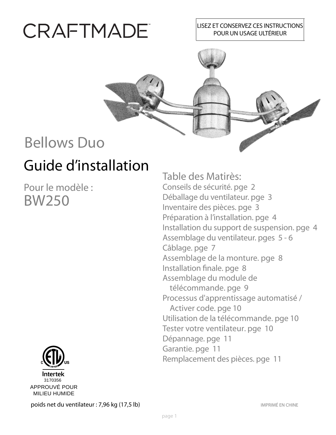# CRAFTMADE

#### LISEZ ET CONSERVEZ CES INSTRUCTIONS POUR UN USAGE ULTÉRIEUR



## Guide d'installation Bellows Duo

Pour le modèle : BW250



Table des Matirès: Conseils de sécurité. pge 2 Déballage du ventilateur. pge 3 Inventaire des pièces. pge 3 Préparation à l'installation. pge 4 Installation du support de suspension. pge 4 Assemblage du ventilateur. pges 5 - 6 Câblage. pge 7 Assemblage de la monture. pge 8 Installation finale. pge 8 Assemblage du module de télécommande. pge 9 Processus d'apprentissage automatisé / Activer code. pge 10 Utilisation de la télécommande. pge 10 Tester votre ventilateur. pge 10 Dépannage. pge 11 Garantie. pge 11 Remplacement des pièces. pge 11

poids net du ventilateur : 7,96 kg (17,5 lb) **IMPRIMÉ EN CHINE**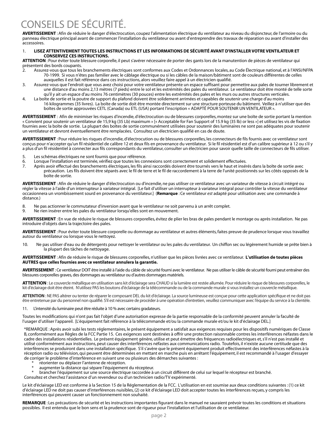### CONSEILS DE SÉCURITÉ.

**AVERTISSEMENT** : Afin de réduire le danger d'électrocution, coupez l'alimentation électrique du ventilateur au niveau du disjoncteur, de l'armoire ou du panneau électrique principal avant de commencer l'installation du ventilateur ou avant d'entreprendre des travaux de réparation ou avant d'installer des accessoires.

#### 1. **LISEZ ATTENTIVEMENT TOUTES LES INSTRUCTIONS ET LES INFORMATIONS DE SÉCURITÉ AVANT D'INSTALLER VOTRE VENTILATEUR ET CONSERVEZ CES INSTRUCTIONS.**

**ATTENTION** : Pour éviter toute blessure corporelle, il peut s'avérer nécessaire de porter des gants lors de la manutention de pièces de ventilateur qui présentent des bords coupants.

- 2. Assurez-vous que tous les branchements électriques sont conformes aux Codes et Ordonnances locales, au Code Électrique national, et à l'ANSI/NFPA 70-1999. Si vous n'êtes pas familier avec le câblage électrique ou si les câbles de la maison/bâtiment sont de couleurs différentes de celles auxquelles il est fait référence dans ces instructions, alors veuillez faire appel à un électricien qualifié.
- 3. Assurez-vous que l'endroit que vous avez choisi pour votre ventilateur présente un espace suffisant pour permettre aux pales de tourner librement et une distance d'au moins 2,13 mètres (7 pieds) entre le sol et les extrémités des pales du ventilateur. Le ventilateur doit être monté de telle sorte qu'il y ait un espace d'au moins 76 centimètres (30 pouces) entre les extrémités des pales et les murs ou autres structures verticales.
- 4. La boîte de sortie et la poutre de support du plafond doivent être solidement arrimées et capables de soutenir une charge d'au moins 16 kilogrammes (35 livres). La boîte de sortie doit être montée directement sur une structure porteuse du bâtiment. Veillez à n'utiliser que des boîtes de sortie approuvées CETL (Canada) ou ETL (USA) portant l'inscription « ADAPTÉ POUR SOUTENIR UN VENTILATEUR ».

**AVERTISSEMENT** : Afin de minimiser les risques d'incendie, d'électrocution ou de blessures corporelles, montez sur une boîte de sortie portant la mention « Convient pour soutenir un ventilateur de 15,9 kg (35 Lb) maximum » [« Acceptable for Fan Support of 15.9 kg (35 lb) or less »] et utilisez les vis de fixation fournies avec la boîte de sortie. La plupart des boîtes de sortie communément utilisées pour soutenir des luminaires ne sont pas adéquates pour soutenir un ventilateur et devront éventuellement être remplacées. Consultez un électricien qualifié en cas de doute.

**AVERTISSEMENT** : Pour réduire les risques d'incendie, d'électrocution ou de blessures corporelles, les connecteurs de fils fournis avec ce ventilateur sont conçus pour n'accepter qu'un fil résidentiel de calibre 12 et deux fils en provenance du ventilateur. Si le fil résidentiel est d'un calibre supérieur à 12 ou s'il y a plus d'un fil résidentiel à connecter aux fils correspondants du ventilateur, consulter un électricien pour savoir quelle taille de connecteurs de fils utiliser.

- 5. Les schémas électriques ne sont fournis que pour référence.
- 6. Lorsque l'installation est terminée, vérifiez que toutes les connexions sont correctement et solidement effectuées.
- 7. Après avoir effectué des branchements électriques, les fils ainsi raccordés doivent être tournés vers le haut et insérés dans la boîte de sortie avec précaution. Les fils doivent être séparés avec le fil de terre et le fil de raccordement à la terre de l'unité positionnés sur les côtés opposés de la boîte de sortie.

**AVERTISSEMENT** : Afin de réduire le danger d'électrocution ou d'incendie, ne pas utiliser ce ventilateur avec un variateur de vitesse à circuit intégré ou régler la vitesse à l'aide d'un interrupteur à variateur intégral. [Le fait d'utiliser un interrupteur à variateur intégral pour contrôler la vitesse du ventilateur occasionnera un vrombissement sourd en provenance du ventilateur.] (**Remarque** : Ce ventilateur *est* adapté pour utilisation avec une commande à distance.)

- 8. Ne pas actionner le commutateur d'inversion avant que le ventilateur ne soit parvenu à un arrêt complet.
- 9. Ne rien insérer entre les pales du ventilateur lorsqu'elles sont en mouvement.

**AVERTISSEMENT** : En vue de réduire le risque de blessures corporelles, évitez de plier les bras de pales pendant le montage ou après installation. Ne pas introduire d'objets dans la trajectoire des pales.

**AVERTISSEMENT** : Pour éviter toute blessure corporelle ou dommage au ventilateur et autres éléments, faites preuve de prudence lorsque vous travaillez autour du ventilateur ou lorsque vous le nettoyez.

10. Ne pas utiliser d'eau ou de détergents pour nettoyer le ventilateur ou les pales du ventilateur. Un chiffon sec ou légèrement humide se prête bien à la plupart des tâches de nettoyage.

**AVERTISSEMENT** : Afin de réduire le risque de blessures corporelles, n'utiliser que les pièces livrées avec ce ventilateur. **L'utilisation de toutes pièces AUTRES que celles fournies avec ce ventilateur annulera la garantie.**

**AVERTISSEMENT** : Ce ventilateur DOIT être installé à l'aide du câble de sécurité fourni avec le ventilateur. Ne pas utiliser le câble de sécurité fourni peut entraîner des blessures corporelles graves, des dommages au ventilateur ou d'autres dommages matériels.

**ATTENTION** : Le couvercle métallique en utilisation sans kit d'éclairage sera CHAUD si la lumière est restée allumée. Pour réduire le risque de blessures corporelles, le kit d'éclairage doit être éteint. N'utilisez PAS les boutons d'éclairage de la télécommande ou de la commande murale si vous installez un couvercle métallique.

**ATTENTION** : NE PAS altérer ou tenter de réparer le composant DEL du kit d'éclairage. La source lumineuse est conçue pour cette application spécifique et ne doit pas être entretenue par du personnel non qualifié. S'il est nécessaire de procéder à une opération d'entretien, veuillez communiquer avec l'équipe du service à la clientèle.

11. L'intensité du luminaire peut être réduite à 10 % avec certains gradateurs.

Toutes les modifications qui n'ont pas fait l'objet d'une autorisation expresse de la partie responsable de la conformité peuvent annuler la faculté de l'usager d'utiliser l'appareil. [L'équipement fait référence à la télécommande et/ou la commande murale et/ou le kit d'éclairage DEL.]

\*REMARQUE : Après avoir subi les tests réglementaires, le présent équipement a satisfait aux exigences requises pour les dispositifs numériques de Classe B, conformément aux Règles de la FCC Partie 15. Ces exigences sont destinées à offrir une protection raisonnable contres les interférences néfastes dans le cadre des installations résidentielles. Le présent équipement génère, utilise et peut émettre des fréquences radioélectriques et, s'il n'est pas installé et utilisé conformément aux instructions, peut causer des interférences néfastes aux communications radio. Toutefois, il n'existe aucune certitude que des interférences se produiront dans une installation spécifique. S'il s'avère que le présent équipement produit effectivement des interférences néfastes à la réception radio ou télévision, qui peuvent être déterminées en mettant en marche puis en arrêtant l'équipement, il est recommandé à l'usager d'essayer de corriger le problème d'interférence en suivant une ou plusieurs des démarches suivantes :

- réorienter ou déplacer l'antenne de réception.
- augmenter la distance qui sépare l'équipement du récepteur.
- brancher l'équipement sur une source électrique raccordée à un circuit différent de celui sur lequel le récepteur est branché.
- Consultez et cherchez l'assistance d'un revendeur ou d'un technicien radio/TV expérimenté.

Le kit d'éclairage LED est conforme à la Section 15 de la Réglementation de la FCC. L'utilisation en est soumise aux deux conditions suivantes : (1) ce kit d'éclairage LED ne doit pas causer d'interférences nuisibles, (2) ce kit d'éclairage LED doit accepter toutes les interférences reçues, y compris les interférences qui peuvent causer un fonctionnement non souhaité.

**REMARQUE** : Les précautions de sécurité et les instructions importantes figurant dans le manuel ne sauraient prévoir toutes les conditions et situations possibles. Il est entendu que le bon sens et la prudence sont de rigueur pour l'installation et l'utilisation de ce ventilateur.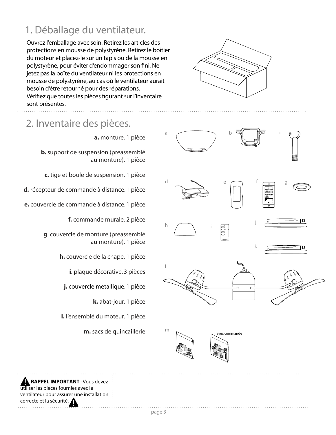### 1. Déballage du ventilateur.

Ouvrez l'emballage avec soin. Retirez les articles des protections en mousse de polystyrène. Retirez le boîtier du moteur et placez-le sur un tapis ou de la mousse en polystyrène, pour éviter d'endommager son fini. Ne jetez pas la boîte du ventilateur ni les protections en mousse de polystyrène, au cas où le ventilateur aurait besoin d'être retourné pour des réparations. Vérifiez que toutes les pièces figurant sur l'inventaire sont présentes.

#### 2. Inventaire des pièces.

**a.** monture. 1 pièce

**b.** support de suspension (preassemblé au monture). 1 pièce

**c.** tige et boule de suspension. 1 pièce

**d.** récepteur de commande à distance. 1 pièce

**e.** couvercle de commande à distance. 1 pièce

**f.** commande murale. 2 pièce

**g**. couvercle de monture (preassemblé au monture). 1 pièce

**h.** couvercle de la chape. 1 pièce

**i**. plaque décorative. 3 pièces

**j.** couvercle metallique. 1 pièce

**k.** abat-jour. 1 pièce

**l.** l'ensemblé du moteur. 1 pièce

**m.** sacs de quincaillerie







 **RAPPEL IMPORTANT** : Vous devez utiliser les pièces fournies avec le ventilateur pour assurer une installation correcte et la sécurité.

page 3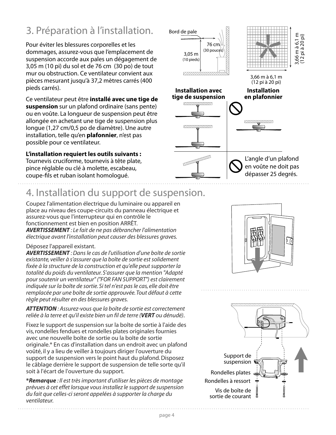### 3. Préparation à l'installation.

Pour éviter les blessures corporelles et les dommages, assurez-vous que l'emplacement de suspension accorde aux pales un dégagement de 3,05 m (10 pi) du sol et de 76 cm (30 po) de tout mur ou obstruction. Ce ventilateur convient aux pièces mesurant jusqu'à 37,2 mètres carrés (400 pieds carrés).

Ce ventilateur peut être **installé avec une tige de suspension** sur un plafond ordinaire (sans pente) ou en voûte. La longueur de suspension peut être allongée en achetant une tige de suspension plus longue (1,27 cm/0,5 po de diamètre). Une autre installation, telle qu'en **plafonnier**, n'est pas possible pour ce ventilateur.

**L'installation requiert les outils suivants :** Tournevis cruciforme, tournevis à tête plate, pince réglable ou clé à molette, escabeau, coupe-fils et ruban isolant homologué.



### 4. Installation du support de suspension.

Coupez l'alimentation électrique du luminaire ou appareil en place au niveau des coupe-circuits du panneau électrique et assurez-vous que l'interrupteur qui en contrôle le fonctionnement est bien en position ARRÊT. *AVERTISSEMENT : Le fait de ne pas débrancher l'alimentation électrique avant l'installation peut causer des blessures graves.*

#### Déposez l'appareil existant.

*AVERTISSEMENT : Dans le cas de l'utilisation d'une boîte de sortie existante, veiller à s'assurer que la boîte de sortie est solidement fixée à la structure de la construction et qu'elle peut supporter la totalité du poids du ventilateur. S'assurer que la mention "Adapté pour soutenir un ventilateur" ("FOR FAN SUPPORT") est clairement indiquée sur la boîte de sortie. Si tel n'est pas le cas, elle doit être remplacée par une boîte de sortie approuvée. Tout défaut à cette règle peut résulter en des blessures graves.*

*ATTENTION : Assurez-vous que la boîte de sortie est correctement reliée à la terre et qu'il existe bien un fil de terre (VERT ou dénudé)*.

Fixez le support de suspension sur la boîte de sortie à l'aide des vis, rondelles fendues et rondelles plates originales fournies avec une nouvelle boîte de sortie ou la boîte de sortie originale.\* En cas d'installation dans un endroit avec un plafond voûté, il y a lieu de veiller à toujours diriger l'ouverture du support de suspension vers le point haut du plafond. Disposez le câblage derrière le support de suspension de telle sorte qu'il soit à l'écart de l'ouverture du support.

**\****Remarque : Il est très important d'utiliser les pièces de montage prévues à cet effet lorsque vous installez le support de suspension du fait que celles-ci seront appelées à supporter la charge du ventilateur.*



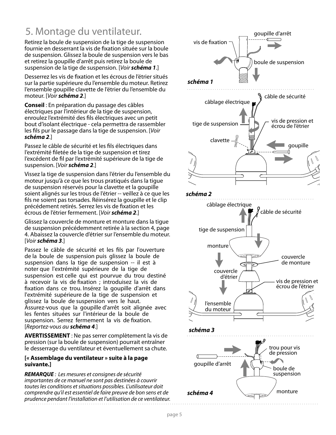### 5. Montage du ventilateur.

Retirez la boule de suspension de la tige de suspension fournie en desserrant la vis de fixation située sur la boule de suspension. Glissez la boule de suspension vers le bas et retirez la goupille d'arrêt puis retirez la boule de suspension de la tige de suspension. [Voir *schéma 1*.]

Desserrez les vis de fixation et les écrous de l'étrier situés sur la partie supérieure du l'ensemble du moteur. Retirez l'ensemble goupille clavette de l'étrier du l'ensemble du moteur. [Voir *schéma 2*.]

**Conseil** : En préparation du passage des câbles électriques par l'intérieur de la tige de suspension, enroulez l'extrémité des fils électriques avec un petit bout d'isolant électrique - cela permettra de rassembler les fils pur le passage dans la tige de suspension. [Voir *schéma 2*.]

Passez le câble de sécurité et les fils électriques dans l'extrémité filetée de la tige de suspension et tirez l'excédent de fil par l'extrémité supérieure de la tige de suspension. [Voir *schéma 2*.]

Vissez la tige de suspension dans l'étrier du l'ensemble du moteur jusqu'à ce que les trous pratiqués dans la tigue de suspension réservés pour la clavette et la goupille soient alignés sur les trous de l'étrier -- veillez à ce que les fils ne soient pas torsades. Réinsérez la goupille et le clip précédement retirés. Serrez les vis de fixation et les écrous de l'étrier fermement. [Voir *schéma 2*.]

Glissez la couvercle de monture et monture dans la tigue de suspension précédemment retirée à la section 4, page 4. Abaissez la couvercle d'étrier sur l'ensemble du moteur. [Voir *schéma 3*.]

Passez le câble de sécurité et les fils par l'ouverture de la boule de suspension puis glissez la boule de suspension dans la tige de suspension -- il est à noter que l'extrémité supérieure de la tige de suspension est celle qui est pourvue du trou destiné à recevoir la vis de fixation ; introduisez la vis de fixation dans ce trou. Insérez la goupille d'arrêt dans l'extrémité supérieure de la tige de suspension et glissez la boule de suspension vers le haut. Assurez-vous que la goupille d'arrêt soit alignée avec les fentes situées sur l'intérieur de la boule de suspension. Serrez fermement la vis de fixation. [Reportez-vous au *schéma 4*.]

**AVERTISSEMENT** : Ne pas serrer complètement la vis de pression (sur la boule de suspension) pourrait entraîner le desserrage du ventilateur et éventuellement sa chute.

#### **[« Assemblage du ventilateur » suite à la page suivante.]**

*REMARQUE* : Les mesures et consignes de sécurité importantes de ce manuel ne sont pas destinées à couvrir toutes les conditions et situations possibles. L'utilisateur doit comprendre qu'il est essentiel de faire preuve de bon sens et de prudence pendant l'installation et l'utilisation de ce ventilateur.

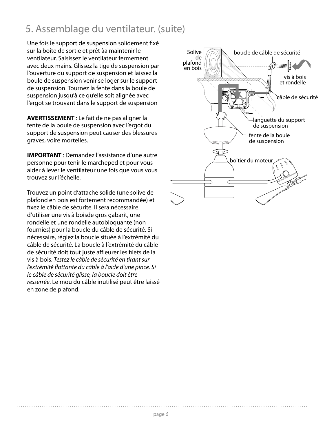### 5. Assemblage du ventilateur. (suite)

Une fois le support de suspension solidement fixé sur la boîte de sortie et prêt àa maintenir le ventilateur. Saisissez le ventilateur fermement avec deux mains. Glissez la tige de suspension par l'ouverture du support de suspension et laissez la boule de suspension venir se loger sur le support de suspension. Tournez la fente dans la boule de suspension jusqu'à ce qu'elle soit alignée avec l'ergot se trouvant dans le support de suspension

**AVERTISSEMENT** : Le fait de ne pas aligner la fente de la boule de suspension avec l'ergot du support de suspension peut causer des blessures graves, voire mortelles.

**IMPORTANT** : Demandez l'assistance d'une autre personne pour tenir le marcheped et pour vous aider à lever le ventilateur une fois que vous vous trouvez sur l'échelle.

Trouvez un point d'attache solide (une solive de plafond en bois est fortement recommandée) et fixez le câble de sécurite. Il sera nécessaire d'utiliser une vis à boisde gros gabarit, une rondelle et une rondelle autobloquante (non fournies) pour la boucle du câble de sécurité. Si nécessaire, réglez la boucle située à l'extrémité du câble de sécurité. La boucle à l'extrémité du câble de sécurité doit tout juste affleurer les filets de la vis à bois. Testez le câble de sécurité en tirant sur l'extrémité flottante du câble à l'aide d'une pince. Si le câble de sécurité glisse, la boucle doit être resserrée. Le mou du câble inutilisé peut être laissé en zone de plafond.

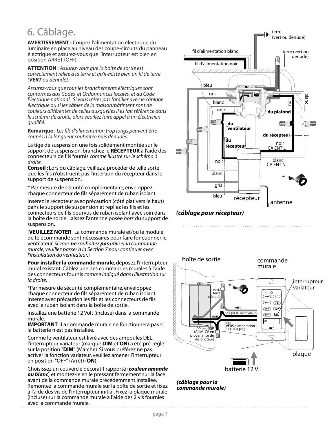### 6. Câblage.

**AVERTISSEMENT :** Coupez l'alimentation électrique du luminaire en place au niveau des coupe-circuits du panneau électrique et assurez-vous que l'interrupteur est bien en position ARRÊT (OFF).

**ATTENTION** : Assurez-vous que la boîte de sortie est correctement reliée à la terre et qu'il existe bien un fil de terre (*VERT* ou dénudé).

Assurez-vous que tous les branchements électriques sont conformes aux Codes et Ordonnances locales, et au Code Électrique national. Si vous n'êtes pas familier avec le câblage électrique ou si les câbles de la maison/bâtiment sont de couleurs différentes de celles auxquelles il es fait référence dans le schéma de droite, alors veuillez faire appel à un électricien qualifié.

**Remarque** : Les fils d'alimentation trop longs peuvent être coupés à la longueur souhaitée puis dénudés.

La tige de suspension une fois solidement montée sur le support de suspension, branchez le **RÉCEPTEUR** à l'aide des connecteurs de fils fournis *comme illustré sur le schéma à droite.*

**Conseil** : Lors du câblage, veillez à procéder de telle sorte que les fils n'obstruent pas l'insertion du récepteur dans le support de suspension.

\* Par mesure de sécurité complémentaire, enveloppez chaque connecteur de fils séparément de ruban isolant.

Insérez le récepteur avec précaution (côté plat vers le haut) dans le support de suspension et repliez les fils et les connecteurs de fils pourvus de ruban isolant avec soin dans la boîte de sortie. Laissez l'antenne posée *hors* du support de suspension.

[**VEUILLEZ NOTER** : La commande murale et/ou le module de télécommande sont nécessaires pour faire fonctionner le ventilateur. *Si vous ne souhaitez pas utiliser la commande murale, veuillez passer à la Section 7 pour continuer avec l'installation du ventilateur.*]

**Pour installer la commande murale**, déposez l'interrupteur mural existant. Câblez une des commandes murales à l'aide des connecteurs fournis *comme indiqué dans l'illustration sur la droite*.

\*Par mesure de sécurité complémentaire, enveloppez chaque connecteur de fils séparément de ruban isolant. Insérez avec précaution les fils et les connecteurs de fils avec le ruban isolant dans la boîte de sortie.

Installez une batterie 12 Volt (incluse) dans la commande murale.

**IMPORTANT** : La commande murale ne fonctionnera pas si la batterie n'est pas installée.

Comme le ventilateur est livré avec des ampoules DEL, l'interrupteur variateur (marqué **DIM** et **ON**) a été pré-réglé sur la position "**DIM**" (Marche). Si vous préférez ne pas activer la fonction variateur, veuillez amener l'interrupteur en position "OFF" (Arrêt) (**ON**).

Choisissez un couvercle décoratif rapporté (*couleur amande ou blanc*) et montez-le en le pressant fermement sur la face avant de la commande murale précédemment installée. Remontez la commande murale sur la boîte de sortie et fixez à l'aide des vis de l'interrupteur initial. Fixez la plaque murale (incluse) sur la commande murale à l'aide des 2 vis fournies avec la commande murale.



#### *(câblage pour récepteur)*



*(câblage pour la commande murale)*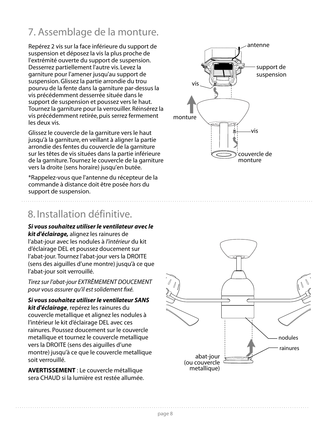### 7. Assemblage de la monture.

Repérez 2 vis sur la face inférieure du support de suspension et déposez la vis la plus proche de l'extrémité ouverte du support de suspension. Desserrez partiellement l'autre vis. Levez la garniture pour l'amener jusqu'au support de suspension. Glissez la partie arrondie du trou pourvu de la fente dans la garniture par-dessus la vis précédemment desserrée située dans le support de suspension et poussez vers le haut. Tournez la garniture pour la verrouiller. Réinsérez la vis précédemment retirée, puis serrez fermement les deux vis.

Glissez le couvercle de la garniture vers le haut jusqu'à la garniture, en veillant à aligner la partie arrondie des fentes du couvercle de la garniture sur les têtes de vis situées dans la partie inférieure de la garniture. Tournez le couvercle de la garniture vers la droite (sens horaire) jusqu'en butée.

\*Rappelez-vous que l'antenne du récepteur de la commande à distance doit être posée *hors* du support de suspension.

### 8. Installation définitive.

*Si vous souhaitez utiliser le ventilateur avec le kit d'éclairage,* alignez les rainures de l'abat-jour avec les nodules à l'intérieur du kit d'éclairage DEL et poussez doucement sur l'abat-jour. Tournez l'abat-jour vers la DROITE (sens des aiguilles d'une montre) jusqu'à ce que l'abat-jour soit verrouillé.

Tirez sur l'abat-jour EXTRÊMEMENT DOUCEMENT pour vous assurer qu'il est solidement fixé.

*Si vous souhaitez utiliser le ventilateur SANS kit d'éclairage*, repérez les rainures du couvercle metallique et alignez les nodules à l'intérieur le kit d'éclairage DEL avec ces rainures. Poussez doucement sur le couvercle metallique et tournez le couvercle metallique vers la DROITE (sens des aiguilles d'une montre) jusqu'à ce que le couvercle metallique soit verrouillé.

**AVERTISSEMENT** : Le couvercle métallique sera CHAUD si la lumière est restée allumée.



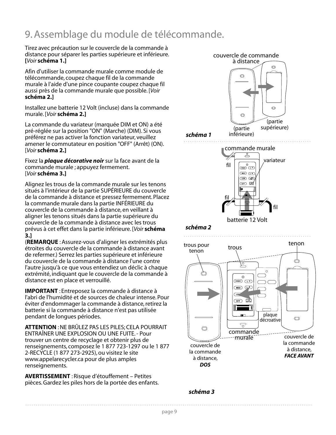### 9. Assemblage du module de télécommande.

Tirez avec précaution sur le couvercle de la commande à distance pour séparer les parties supérieure et inférieure. **[**Voir **schéma 1.]**

Afin d'utiliser la commande murale comme module de télécommande, coupez chaque fil de la commande murale à l'aide d'une pince coupante coupez chaque fil aussi près de la commande murale que possible. [Voir **schéma 2.]** 

Installez une batterie 12 Volt (incluse) dans la commande murale. [Voir **schéma 2.]**

La commande du variateur (marquée DIM et ON) a été pré-réglée sur la position "ON" (Marche) (DIM). Si vous préférez ne pas activer la fonction variateur, veuillez amener le commutateur en position "OFF" (Arrêt) (ON). [Voir **schéma 2.]**

Fixez la *plaque décorative noir* sur la face avant de la commande murale ; appuyez fermement. [Voir **schéma 3.]**

Alignez les trous de la commande murale sur les tenons situés à l'intérieur de la partie SUPÉRIEURE du couvercle de la commande à distance et pressez fermement. Placez la commande murale dans la partie INFÉRIEURE du couvercle de la commande à distance, en veillant à aligner les tenons situés dans la partie supérieure du couvercle de la commande à distance avec les trous prévus à cet effet dans la partie inférieure. [Voir **schéma 3.]**

(**REMARQUE** : Assurez-vous d'aligner les extrémités plus étroites du couvercle de la commande à distance avant de refermer.) Serrez les parties supérieure et inférieure du couvercle de la commande à distance l'une contre l'autre jusqu'à ce que vous entendiez un déclic à chaque extrémité, indiquant que le couvercle de la commande à distance est en place et verrouillé.

**IMPORTANT** : Entreposez la commande à distance à l'abri de l'humidité et de sources de chaleur intense. Pour éviter d'endommager la commande à distance, retirez la batterie si la commande à distance n'est pas utilisée pendant de longues périodes.

**ATTENTION** : NE BRÛLEZ PAS LES PILES; CELA POURRAIT ENTRAÎNER UNE EXPLOSION OU UNE FUITE. - Pour trouver un centre de recyclage et obtenir plus de renseignements, composez le 1 877 723-1297 ou le 1 877 2-RECYCLE (1 877 273-2925), ou visitez le site www.appelarecycler.ca pour de plus amples renseignements.

**AVERTISSEMENT** : Risque d'étouffement – Petites pièces. Gardez les piles hors de la portée des enfants.



*schéma 3*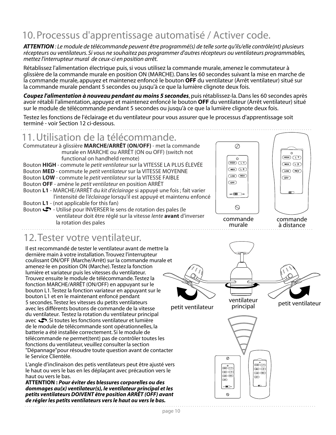#### page 10

#### 10. Processus d'apprentissage automatisé / Activer code.

*ATTENTION : Le module de télécommande peuvent être programmé(s) de telle sorte qu'ils/elle contrôle(nt) plusieurs récepteurs ou ventilateurs. Si vous ne souhaitez pas programmer d'autres récepteurs ou ventilateurs programmables, mettez l'interrupteur mural de ceux-ci en position arrêt.*

Rétablissez l'alimentation électrique puis, si vous utilisez la commande murale, amenez le commutateur à glissière de la commande murale en position ON (MARCHE). Dans les 60 secondes suivant la mise en marche de la commande murale, appuyez et maintenez enfoncé le bouton **OFF** du ventilateur (Arrêt ventilateur) situé sur la commande murale pendant 5 secondes ou jusqu'à ce que la lumière clignote deux fois.

*Coupez l'alimentation à nouveau pendant au moins 5 secondes*, puis rétablissez-la. Dans les 60 secondes après avoir rétabli l'alimentation, appuyez et maintenez enfoncé le bouton **OFF** du ventilateur (Arrêt ventilateur) situé sur le module de télécommande pendant 5 secondes ou jusqu'à ce que la lumière clignote deux fois.

Testez les fonctions de l'éclairage et du ventilateur pour vous assurer que le processus d'apprentissage soit terminé - voir Section 12 ci-dessous.

#### 11. Utilisation de la télécommande.

Commutateur à glissière **MARCHE/ARRÊT (ON/OFF)** - met la commande murale en MARCHE ou ARRÊT (ON ou OFF) (switch not functional on handheld remote) Bouton **HIGH** - commute le *petit ventilateur* sur la VITESSE LA PLUS ÉLEVÉE Bouton **MED** - commute le *petit ventilateur* sur la VITESSE MOYENNE Bouton **LOW** - commute le *petit ventilateur* sur la VITESSE FAIBLE Bouton **OFF** - amène le *petit ventilateur* en position ARRÊT Bouton **L1** - MARCHE/ARRÊT du *kit d'éclairage* si appuyé une fois ; fait varier l'intensité de l*'éclairage* lorsqu'il est appuyé et maintenu enfoncé Bouton **L1** - (not applicable for this fan) Bouton  $\clubsuit$  - Utilisé pour INVERSER le sens de rotation des pales (le ventilateur doit être réglé sur la vitesse *lente* **avant** d'inverser

la rotation des pales

#### 12. Tester votre ventilateur.

Il est recommandé de tester le ventilateur avant de mettre la dernière main à votre installation. Trouvez l'interrupteur coulissant ON/OFF (Marche/Arrêt) sur la commande murale et amenez-le en position ON (Marche). Testez la fonction lumière et variateur puis les vitesses du ventilateur. Trouvez ensuite le module de télécommande. Testez la fonction MARCHE/ARRÊT (ON/OFF) en appuyant sur le bouton L1. Testez la fonction variateur en appuyant sur le bouton L1 et en le maintenant enfoncé pendant 5 secondes. Testez les vitesses du petits ventilateurs avec les différents boutons de commande de la vitesse du ventilateur. Testez la rotation du ventilateur principal avec  $\bullet$ . Si toutes les fonctions ventilateur et lumière de le module de télécommande sont opérationnelles, la batterie a été installée correctement. Si le module de télécommande ne permet(tent) pas de contrôler toutes les fonctions du ventilateur, veuillez consulter la section "Dépannage"pour résoudre toute question avant de contacter le Service Clientèle.

L'angle d'inclinaison des petis ventilateurs peut être ajusté vers le haut ou vers le bas en les déplaçant avec précaution vers le haut ou vers le bas.

**ATTENTION :** *Pour éviter des blessures corporelles ou des dommages au(x) ventilateur(s), le ventilateur principal et les petits ventilateurs DOIVENT être position ARRÊT (OFF) avant de régler les petits ventilateurs vers le haut ou vers le bas.*



**HIGH** (L-1)

 $\bigcirc$ 

 $\overline{CF}$ 

Ō

 $\oslash$ 





**-1 -2**

 $\sqrt{1}$ 

 $\circ$ 

ventilateur<br>petit ventilateur principal petit ventilateur



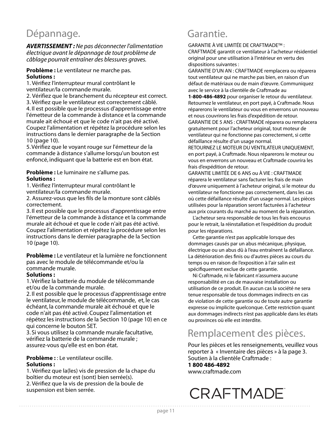### Dépannage. **Garantie.**

*AVERTISSEMENT :* Ne pas déconnecter l'alimentation électrique avant le dépannage de tout problème de câblage pourrait entraîner des blessures graves.

#### **Problème :** Le ventilateur ne marche pas. **Solutions :**

1. Vérifiez l'interrupteur mural contrôlant le ventilateur/la commande murale.

2. Vérifiez que le branchement du récepteur est correct. 3. Vérifiez que le ventilateur est correctement câblé. 4. Il est possible que le processus d'apprentissage entre l'émetteur de la commande à distance et la commande murale ait échoué et que le code n'ait pas été activé. Coupez l'alimentation et répétez la procédure selon les instructions dans le dernier paragraphe de la Section 10 (page 10).

5. Vérifiez que le voyant rouge sur l'émetteur de la commande à distance s'allume lorsqu'un bouton est enfoncé, indiquant que la batterie est en bon état.

#### **Problème :** Le luminaire ne s'allume pas. **Solutions :**

1. Vérifiez l'interrupteur mural contrôlant le ventilateur/la commande murale.

2. Assurez-vous que les fils de la monture sont câblés correctement.

3. Il est possible que le processus d'apprentissage entre l'émetteur de la commande à distance et la commande murale ait échoué et que le code n'ait pas été activé. Coupez l'alimentation et répétez la procédure selon les instructions dans le dernier paragraphe de la Section 10 (page 10).

**Problème :** Le ventilateur et la lumière ne fonctionnent pas avec le module de télécommande et/ou la commande murale.

#### **Solutions :**

1. Vérifiez la batterie du module de télécommande et/ou de la commande murale.

2. Il est possible que le processus d'apprentissage entre le ventilateur, le module de télécommande, et, le cas échéant, la commande murale ait échoué et que le code n'ait pas été activé. Coupez l'alimentation et répétez les instructions de la Section 10 (page 10) en ce qui concerne le bouton SET.

3. Si vous utilisez la commande murale facultative, vérifiez la batterie de la commande murale ; assurez-vous qu'elle est en bon état.

#### **Problème :** : Le ventilateur oscille. **Solutions :**

1. Vérifiez que la(les) vis de pression de la chape du boîtier du moteur est (sont) bien serrée(s). 2. Vérifiez que la vis de pression de la boule de suspension est bien serrée.

GARANTIE À VIE LIMITÉE DE CRAFTMADE™ :

CRAFTMADE garantit ce ventilateur à l'acheteur résidentiel original pour une utilisation à l'intérieur en vertu des dispositions suivantes :

GARANTIE D'UN AN : CRAFTMADE remplacera ou réparera tout ventilateur qui ne marche pas bien, en raison d'un défaut de matériaux ou de main d'œuvre. Communiquez avec le service à la clientèle de Craftmade au

**1-800-486-4892** pour organiser le retour du ventilateur. Retournez le ventilateur, en port payé, à Craftmade. Nous réparerons le ventilateur ou vous en enverrons un nouveau et nous couvrirons les frais d'expédition de retour. GARANTIE DE 5 ANS : CRAFTMADE réparera ou remplacera gratuitement pour l'acheteur original, tout moteur de

ventilateur qui ne fonctionne pas correctement, si cette défaillance résulte d'un usage normal.

RETOURNEZ LE MOTEUR DU VENTILATEUR UNIQUEMENT, en port payé, à Craftmade. Nous réparerons le moteur ou vous en enverrons un nouveau et Craftmade couvrira les frais d'expédition de retour.

GARANTIE LIMITÉE DE 6 ANS ou À VIE : CRAFTMADE réparera le ventilateur sans facturer les frais de main d'œuvre uniquement à l'acheteur original, si le moteur du ventilateur ne fonctionne pas correctement, dans les cas où cette défaillance résulte d'un usage normal. Les pièces utilisées pour la réparation seront facturées à l'acheteur aux prix courants du marché au moment de la réparation.

 L'acheteur sera responsable de tous les frais encourus pour le retrait, la réinstallation et l'expédition du produit pour les réparations.

 Cette garantie n'est pas applicable lorsque des dommages causés par un abus mécanique, physique, électrique ou un abus dû à l'eau entraînent la défaillance. La détérioration des finis ou d'autres pièces au cours du temps ou en raison de l'exposition à l'air salin est spécifiquement exclue de cette garantie.

 Ni Craftmade, ni le fabricant n'assumera aucune responsabilité en cas de mauvaise installation ou utilisation de ce produit. En aucun cas la société ne sera tenue responsable de tous dommages indirects en cas de violation de cette garantie ou de toute autre garantie expresse ou implicite quelconque. Cette restriction quant aux dommages indirects n'est pas applicable dans les états ou provinces où elle est interdite.

### Remplacement des pièces.

Pour les pièces et les renseignements, veuillez vous reporter à « Inventaire des pièces » à la page 3. Soutien à la clientèle Craftmade :

**1 800 486-4892**

www.craftmade.com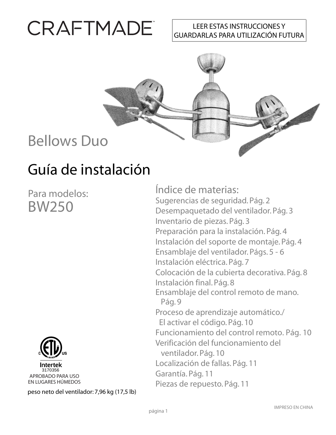# CRAFTMADE

#### LEER ESTAS INSTRUCCIONES Y GUARDARLAS PARA UTILIZACIÓN FUTURA



# Guía de instalación

Para modelos: BW250



peso neto del ventilador: 7,96 kg (17,5 lb)

Índice de materias: Sugerencias de seguridad. Pág. 2 Desempaquetado del ventilador. Pág. 3 Inventario de piezas. Pág. 3 Preparación para la instalación. Pág. 4 Instalación del soporte de montaje. Pág. 4 Ensamblaje del ventilador. Págs. 5 - 6 Instalación eléctrica. Pág. 7 Colocación de la cubierta decorativa. Pág. 8 Instalación final. Pág. 8 Ensamblaje del control remoto de mano. Pág. 9 Proceso de aprendizaje automático./ El activar el código. Pág. 10 Funcionamiento del control remoto. Pág. 10 Verificación del funcionamiento del ventilador. Pág. 10 Localización de fallas. Pág. 11 Garantía. Pág. 11 Piezas de repuesto. Pág. 11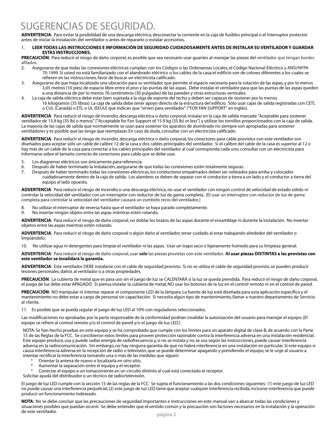#### SUGERENCIAS DE SEGURIDAD.

**ADVERTENCIA**: Para evitar la posibilidad de una descarga eléctrica, desconectar la corriente en la caja de fusibles principal o el interruptor protector antes de iniciar la instalación del ventilador o antes de repararlo o instalar accesorios.

#### 1. **LEER TODAS LAS INSTRUCCIONES E INFORMACIÓN DE SEGURIDAD CUIDADOSAMENTE ANTES DE INSTALAR SU VENTILADOR Y GUARDAR ESTAS INSTRUCCIONES.**

**PRECAUCIÓN**: Para reducir el riesgo de daño corporal, es posible que sea necesario usar guantes al manejar las piezas del ventilador que tengan bordes afilados.

- 2. Asegurarse de que todas las conexiones eléctricas cumplan con los Códigos o las Ordenanzas Locales, el Código Nacional Eléctrico y ANSI/NFPA 70-1999. Si usted no está familiarizado con el alambrado eléctrico o los cables de la casa/el edificio son de colores diferentes a los cuales se refieren en las instrucciones, favor de buscar un electricista calificado.
- 3. Asegurarse de que haya localizado una ubicación para su ventilador que permite el espacio necesario para la rotación de las aspas, y por lo menos 3,05 metros (10 pies) de espacio libre entre el piso y las puntas de las aspas. Debe instalar el ventilador para que las puntas de las aspas queden a una distancia de por lo menos 76 centímetros (30 pulgadas) de las paredes y otras estructuras verticales.
- 4. La caja de salida eléctrica debe estar bien sujetada a la viga de soporte del techo y deben ser capaces de sostener por lo menos 16 kilogramos (35 libras). La caja de salida debe tener apoyo directo de la estructura del edificio. Sólo usar cajas de salida registradas con CETL o CUL (Canadá) o ETL o UL (EEUU) que indican que "sirven para ventilador" ("FOR FAN SUPPORT" en inglés).

**ADVERTENCIA**: Para reducir el riesgo de incendio, descarga eléctrica o daño corporal, instalar en la caja de salida marcada "Aceptable para sostener ventilador de 15,9 kg (35 lb) o menos" ["Acceptable for Fan Support of 15.9 kg (35 lb) or less"] y utilizar los tornillos proporcionados con la caja de salida. La mayoría de las cajas de salida que normalmente se usan para sostener los aparatos de alumbrado no siempre son apropiadas para sostener ventiladores y es posible que las tenga que reemplazar. En caso de duda, consultar con un electricista calificado.

**ADVERTENCIA**: Para reducir el riesgo de incendio, descarga eléctrica o daño corporal, los conectores para cable provistos con este ventilador son diseñados para aceptar sólo un cable de calibre 12 de la casa y dos cables principales del ventilador. Si el calibre del cable de la casa es superior al 12 o hay más de un cable de la casa para conectar a los cables principales del ventilador al cual corresponda cada uno, consultar con un electricista para informarse sobre el tamaño correcto de conectores para cable que se debe usar.

- 5. Los diagramas eléctricos son únicamente para referencia.
- Después de haber terminado la instalación, asegurarse de que todas las conexiones estén totalmente seguras.
- 7. Después de haber terminado todas las conexiones eléctricas, los conductores empalmados deben ser volteados para arriba y colocados cuidadosamente dentro de la caja de salida. Los alambres se deben de separar con el conductor a tierra a un lado y el conductor a tierra del equipo al lado opuesto.

**ADVERTENCIA**: Para reducir el riesgo de incendio o una descarga eléctrica, no usar el ventilador con ningún control de velocidad de estado sólido ni controlar la velocidad del ventilador con un interruptor con reductor de luz de gama completa. [El usar un interruptor con reductor de luz de gama completa para controlar la velocidad del ventilador causará un zumbido recio del ventilador.]

- 8. No utilizar el interruptor de reversa hasta que el ventilador se haya parado completamente.
- 9. No insertar ningún objeto entre las aspas mientras estén rotando.

**ADVERTENCIA**: Para reducir el riesgo de daño corporal, no doblar los brazos de las aspas durante el ensamblaje ni durante la instalación. No insertar objetos entre las aspas mientras estén rotando.

**ADVERTENCIA**: Para reducir el riesgo de daño corporal o algún daño al ventilador, tener cuidado al estar trabajando alrededor del ventilador o limpiándolo.

10. No utilizar agua ni detergentes para limpiar el ventilador ni las aspas. Usar un trapo seco o ligeramente húmedo para su limpieza general.

**ADVERTENCIA**: Para reducir el riesgo de daño corporal, usar *sólo* las piezas provistas con este ventilador. **Al usar piezas DISTINTAS a las provistas con este ventilador se invalidará la garantía.**

**ADVERTENCIA**: Este ventilador DEBE instalarse con el cable de seguridad provisto. Si no se utiliza el cable de seguridad provisto, se pueden producir lesiones personales, daños al ventilador o a otras propiedades.

**PRECAUCIÓN**: La cubierta de metal que es para uso sin el juego de luz se CALENTARÁ si la luz se queda prendida. Para reducir el riesgo de daño corporal, el juego de luz debe estar APAGADO. Si piensa instalar la cubierta de metal, NO usar los botones de la luz en el control remoto ni en el control de pared.

**PRECAUCIÓN**: NO manipular ni intentar reparar el componente LED de la lámpara. La fuente de luz está diseñada para esta aplicación específica y el mantenimiento no debe estar a cargo de personal sin capacitación. Si necesita algún tipo de mantenimiento, llamar a nuestro departamento de Servicio al cliente.

11. Es posible que se pueda regular el juego de luz LED al 10% con reguladores seleccionados.

Las modificaciones no aprobadas por la parte responsable de la conformidad podrían invalidar la autorización del usuario para manejar el equipo. [El equipo se refiere al control remoto y/o el control de pared y/o el juego de luz LED.]

NOTA: Se han hecho pruebas en este equipo y se ha comprobado que cumple con los límites para un aparato digital de clase B, de acuerdo con la Parte 15 de las Reglas de la FCC. Se concibieron estos límites para proveer protección razonable contra la interferencia adversa en una instalación residencial. Este equipo produce, usa y puede radiar energía de radiofrecuencia y, si no se instala y no se usa según las instrucciones, puede causar interferencia adversa en la radiocomunicación. Sin embargo, no hay ninguna garantía de que no habrá interferencia en una instalación en particular. Si este equipo sí causa interferencia adversa en la recepción de radio o televisión, que se puede determinar apagando y prendiendo el equipo, se le urge al usuario a intentar rectificar la interferencia tomando una o más de las medidas que siguen:

- \* Orientar la antena de nuevo o localizarla en otro sitio.
- Aumentar la separación entre el equipo y el receptor.

Conectar el equipo a un tomacorriente en un circuito distinto al cual está conectado el receptor.

Solicitar ayuda del distribuidor o un técnico de radio/televisión.

El juego de luz LED cumple con la sección 15 de las reglas de la FCC. Se sujeta el funcionamiento a las dos condiciones siguientes: (1) este juego de luz LED no puede causar una interferencia perjudicial, (2) este juego de luz LED tiene que aceptar cualquier interferencia recibida, inclusive interferencia que puede producir un funcionamiento indeseado.

**NOTA**: No se debe concluir que las precauciones de seguridad importantes e instrucciones en este manual van a abarcar todas las condiciones y situaciones posibles que puedan ocurrir. Se debe entender que el sentido común y la precaución son factores necesarios en la instalación y la operación de este ventilador.<br>Página 2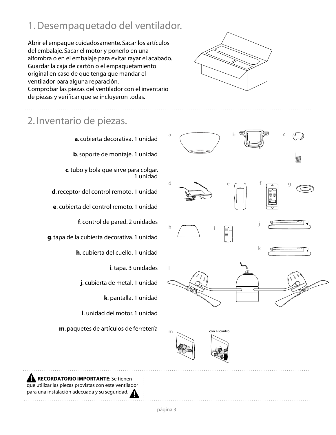### 1. Desempaquetado del ventilador.

Abrir el empaque cuidadosamente. Sacar los artículos del embalaje. Sacar el motor y ponerlo en una alfombra o en el embalaje para evitar rayar el acabado. Guardar la caja de cartón o el empaquetamiento original en caso de que tenga que mandar el ventilador para alguna reparación. Comprobar las piezas del ventilador con el inventario de piezas y verificar que se incluyeron todas.

### 2. Inventario de piezas.

**a**. cubierta decorativa. 1 unidad **b**. soporte de montaje. 1 unidad **c**. tubo y bola que sirve para colgar. 1 unidad **d**. receptor del control remoto. 1 unidad **e**. cubierta del control remoto. 1 unidad **f**. control de pared. 2 unidades **g**. tapa de la cubierta decorativa. 1 unidad

**h**. cubierta del cuello. 1 unidad

**i**. tapa. 3 unidades

**j**. cubierta de metal. 1 unidad

**k**. pantalla. 1 unidad

**l**. unidad del motor. 1 unidad

**m**. paquetes de artículos de ferretería





 **RECORDATORIO IMPORTANTE**: Se tienen que utilizar las piezas provistas con este ventilador para una instalación adecuada y su seguridad.

página 3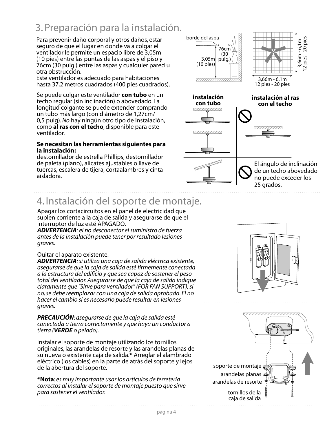### 3. Preparación para la instalación.

Para prevenir daño corporal y otros daños, estar seguro de que el lugar en donde va a colgar el ventilador le permite un espacio libre de 3,05m (10 pies) entre las puntas de las aspas y el piso y 76cm (30 pulg.) entre las aspas y cualquier pared u otra obstrucción.

Este ventilador es adecuado para habitaciones hasta 37,2 metros cuadrados (400 pies cuadrados).

Se puede colgar este ventilador **con tubo** en un techo regular (sin inclinación) o abovedado. La longitud colgante se puede extender comprando un tubo más largo (con diámetro de 1,27cm/ 0,5 pulg). *No* hay ningún otro tipo de instalación, como **al ras con el techo**, disponible para este ventilador.

#### **Se necesitan las herramientas siguientes para la instalación:**

destornillador de estrella Phillips, destornillador de paleta (plano), alicates ajustables o llave de tuercas, escalera de tijera, cortaalambres y cinta aisladora.

### 4. Instalación del soporte de montaje.

Apagar los cortacircuitos en el panel de electricidad que suplen corriente a la caja de salida y asegurarse de que el interruptor de luz esté APAGADO.

*ADVERTENCIA: el no desconectar el suministro de fuerza antes de la instalación puede tener por resultado lesiones graves.* 

#### Quitar el aparato existente.

*ADVERTENCIA: si utiliza una caja de salida eléctrica existente, asegurarse de que la caja de salida esté firmemente conectada a la estructura del edificio y que sea capaz de sostener el peso total del ventilador. Asegurarse de que la caja de salida indique claramente que "Sirve para ventilador" (FOR FAN SUPPORT); si no, se debe reemplazar con una caja de salida aprobada. El no hacer el cambio si es necesario puede resultar en lesiones graves.* 

*PRECAUCIÓN*: *asegurarse de que la caja de salida esté conectada a tierra correctamente y que haya un conductor a tierra (VERDE o pelado).*

Instalar el soporte de montaje utilizando los tornillos originales, las arandelas de resorte y las arandelas planas de su nueva o existente caja de salida.**\*** Arreglar el alambrado eléctrico (los cables) en la parte de atrás del soporte y lejos de la abertura del soporte.

**\*Nota**: *es muy importante usar los artículos de ferretería correctos al instalar el soporte de montaje puesto que sirve para sostener el ventilador.*





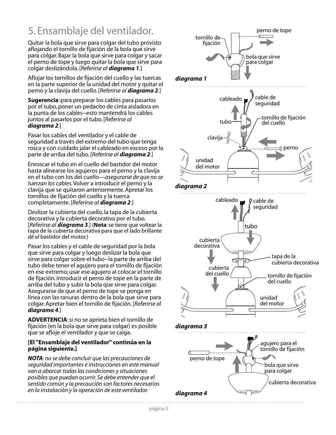### 5. Ensamblaje del ventilador.

Quitar la bola que sirve para colgar del tubo provisto aflojando el tornillo de fijación de la bola que sirve para colgar. Bajar la bola que sirve para colgar y sacar el perno de tope y luego quitar la bola que sirve para colgar deslizándola. [*Referirse al diagrama 1.*]

Aflojar los tornillos de fijación del cuello y las tuercas en la parte superior de la unidad del motor y quitar el perno y la clavija del cuello. [*Referirse al diagrama 2.*]

**Sugerencia**: para preparar los cables para pasarlos por el tubo, poner un pedacito de cinta aisladora en la punta de los cables--esto mantendrá los cables juntos al pasarlos por el tubo. [*Referirse al diagrama 2.*]

Pasar los cables del ventilador y el cable de seguridad a través del extremo del tubo que tenga rosca y con cuidado jalar el cableado en exceso por la parte de arriba del tubo. [*Referirse al diagrama 2.*]

Enroscar el tubo en el cuello del bastidor del motor hasta alinearse los agujeros para el perno y la clavija en el tubo con los del cuello—*asegurarse de que no se tuerzan los cables*. Volver a introducir el perno y la clavija que se quitaron anteriormente. Apretar los tornillos de fijación del cuello y la tuerca completamente. [*Referirse al diagrama 2.*]

Deslizar la cubierta del cuello, la tapa de la cubierta decorativa y la cubierta decorativa por el tubo. [*Referirse al diagrama 3.*] (**Nota**: se tiene que voltear la tapa de la cubierta decorativa para que el lado brillante *dé al* bastidor del motor.)

Pasar los cables y el cable de seguridad por la bola que sirve para colgar y luego deslizar la bola que sirve para colgar sobre el tubo--la parte de arriba del tubo debe tener el agujero para el tornillo de fijación en ese extremo; usar ese agujero al colocar el tornillo de fijación. Introducir el perno de tope en la parte de arriba del tubo y subir la bola que sirve para colgar. Asegurarse de que el perno de tope se ponga en línea con las ranuras dentro de la bola que sirve para colgar. Apretar bien el tornillo de fijación. [*Referirse al diagrama 4.*]

**ADVERTENCIA**: si no se aprieta bien el tornillo de fijación (en la bola que sirve para colgar) es posible que se afloje el ventilador y que se caiga.

#### **[El "Ensamblaje del ventilador" continúa en la página siguiente.]**

*NOTA: no se debe concluir que las precauciones de seguridad importantes e instrucciones en este manual van a abarcar todas las condiciones y situaciones posibles que puedan ocurrir. Se debe entender que el sentido común y la precaución son factores necesarios en la instalación y la operación de este ventilador.*

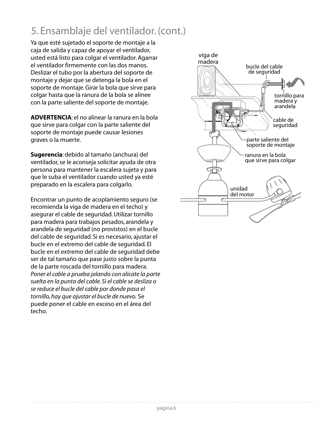### 5. Ensamblaje del ventilador. (cont.)

Ya que esté sujetado el soporte de montaje a la caja de salida y capaz de apoyar el ventilador, usted está listo para colgar el ventilador. Agarrar el ventilador firmemente con las dos manos. Deslizar el tubo por la abertura del soporte de montaje y dejar que se detenga la bola en el soporte de montaje. Girar la bola que sirve para colgar hasta que la ranura de la bola se alinee con la parte saliente del soporte de montaje.

**ADVERTENCIA**: el no alinear la ranura en la bola que sirve para colgar con la parte saliente del soporte de montaje puede causar lesiones graves o la muerte.

**Sugerencia**: debido al tamaño (anchura) del ventilador, se le aconseja solicitar ayuda de otra persona para mantener la escalera sujeta y para que le suba el ventilador cuando usted ya esté preparado en la escalera para colgarlo.

Encontrar un punto de acoplamiento seguro (se recomienda la viga de madera en el techo) y asegurar el cable de seguridad. Utilizar tornillo para madera para trabajos pesados, arandela y arandela de seguridad (no provistos) en el bucle del cable de seguridad. Si es necesario, ajustar el bucle en el extremo del cable de seguridad. El bucle en el extremo del cable de seguridad debe ser de tal tamaño que pase justo sobre la punta de la parte roscada del tornillo para madera. *Poner el cable a prueba jalando con alicate la parte suelta en la punta del cable. Si el cable se desliza o se reduce el bucle del cable por donde pasa el tornillo, hay que ajustar el bucle de nuevo.* Se puede poner el cable en exceso en el área del techo.

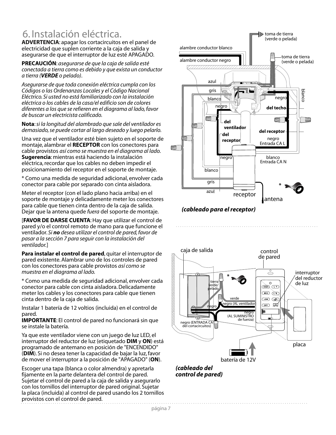### 6. Instalación eléctrica.

**ADVERTENCIA**: apagar los cortacircuitos en el panel de electricidad que suplen corriente a la caja de salida y asegurarse de que el interruptor de luz esté APAGADO.

**PRECAUCIÓN**: *asegurarse de que la caja de salida esté conectada a tierra como es debido y que exista un conductor a tierra (VERDE o pelado)*.

*Asegurarse de que toda conexión eléctrica cumpla con los Códigos o las Ordenanzas Locales y el Código Nacional Eléctrico. Si usted no está familiarizado con la instalación eléctrica o los cables de la casa/el edificio son de colores diferentes a los que se refieren en el diagrama al lado, favor de buscar un electricista calificado.*

**Nota**: *si la longitud del alambrado que sale del ventilador es demasiado, se puede cortar al largo deseado y luego pelarlo.*

Una vez que el ventilador esté bien sujeto en el soporte de montaje, alambrar el **RECEPTOR** con los conectores para cable provistos *así como se muestra en el diagrama al lado.* **Sugerencia**: mientras está haciendo la instalación eléctrica, recordar que los cables no deben impedir el posicionamiento del receptor en el soporte de montaje.

\* Como una medida de seguridad adicional, envolver cada conector para cable por separado con cinta aisladora.

Meter el receptor (con el lado plano hacia arriba) en el soporte de montaje y delicadamente meter los conectores para cable que tienen cinta dentro de la caja de salida. Dejar que la antena quede *fuera* del soporte de montaje.

[**FAVOR DE DARSE CUENTA**: Hay que utilizar el control de pared y/o el control remoto de mano para que funcione el ventilador. *Si no desea utilizar el control de pared, favor de pasar a la sección 7 para seguir con la instalación del ventilador.*]

**Para instalar el control de pared**, quitar el interruptor de pared existente. Alambrar uno de los controles de pared con los conectores para cable provistos *así como se muestra en el diagrama al lado.*

\* Como una medida de seguridad adicional, envolver cada conector para cable con cinta aisladora. Delicadamente meter los cables y los conectores para cable que tienen cinta dentro de la caja de salida.

Instalar 1 batería de 12 voltios (incluida) en el control de pared.

**IMPORTANTE**: El control de pared no funcionará sin que se instale la batería.

Ya que este ventilador viene con un juego de luz LED, el interruptor del reductor de luz (etiquetado **DIM** y **ON**) está programado de antemano en posición de "ENCENDIDO" (**DIM**). Si no desea tener la capacidad de bajar la luz, favor de mover el interruptor a la posición de "APAGADO" (**ON**).

Escoger una tapa (blanca o color almendra) y apretarla fijamente en la parte delantera del control de pared. Sujetar el control de pared a la caja de salida y asegurarlo con los tornillos del interruptor de pared original. Sujetar la placa (incluida) al control de pared usando los 2 tornillos provistos con el control de pared.



*(cableado para el receptor)*



*(cableado del control de pared)*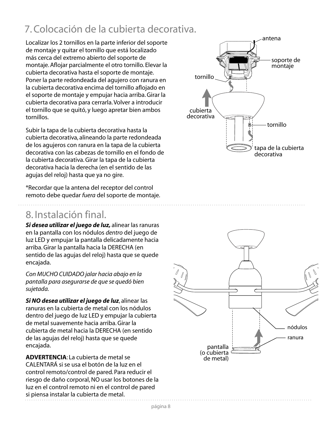### 7. Colocación de la cubierta decorativa.

Localizar los 2 tornillos en la parte inferior del soporte de montaje y quitar el tornillo que está localizado más cerca del extremo abierto del soporte de montaje. Aflojar parcialmente el otro tornillo. Elevar la cubierta decorativa hasta el soporte de montaje. Poner la parte redondeada del agujero con ranura en la cubierta decorativa encima del tornillo aflojado en el soporte de montaje y empujar hacia arriba. Girar la cubierta decorativa para cerrarla. Volver a introducir el tornillo que se quitó, y luego apretar bien ambos tornillos.

Subir la tapa de la cubierta decorativa hasta la cubierta decorativa, alineando la parte redondeada de los agujeros con ranura en la tapa de la cubierta decorativa con las cabezas de tornillo en el fondo de la cubierta decorativa. Girar la tapa de la cubierta decorativa hacia la derecha (en el sentido de las agujas del reloj) hasta que ya no gire.

\*Recordar que la antena del receptor del control remoto debe quedar *fuera* del soporte de montaje.

#### 8. Instalación final.

*Si desea utilizar el juego de luz,* alinear las ranuras en la pantalla con los nódulos *dentro* del juego de luz LED y empujar la pantalla delicadamente hacia arriba. Girar la pantalla hacia la DERECHA (en sentido de las agujas del reloj) hasta que se quede encajada.

*Con MUCHO CUIDADO jalar hacia abajo en la pantalla para asegurarse de que se quedó bien sujetada.*

*Si NO desea utilizar el juego de luz*, alinear las ranuras en la cubierta de metal con los nódulos dentro del juego de luz LED y empujar la cubierta de metal suavemente hacia arriba. Girar la cubierta de metal hacia la DERECHA (en sentido de las agujas del reloj) hasta que se quede encajada.

**ADVERTENCIA**: La cubierta de metal se CALENTARÁ si se usa el botón de la luz en el control remoto/control de pared. Para reducir el riesgo de daño corporal, NO usar los botones de la luz en el control remoto ni en el control de pared si piensa instalar la cubierta de metal.



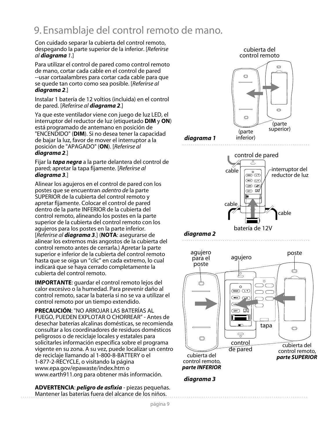### 9. Ensamblaje del control remoto de mano.

Con cuidado separar la cubierta del control remoto, despegando la parte superior de la inferior. [*Referirse al diagrama 1*.]

Para utilizar el control de pared como control remoto de mano, cortar cada cable en el control de pared --usar cortaalambres para cortar cada cable para que se quede tan corto como sea posible. [*Referirse al diagrama 2*.]

Instalar 1 batería de 12 voltios (incluida) en el control de pared. [*Referirse al diagrama 2*.]

Ya que este ventilador viene con juego de luz LED, el interruptor del reductor de luz (etiquetado **DIM** y **ON**) está programado de antemano en posición de "ENCENDIDO" (**DIM**). Si no desea tener la capacidad de bajar la luz, favor de mover el interruptor a la posición de "APAGADO" (**ON**). [*Referirse al diagrama 2*.]

Fijar la *tapa negra* a la parte delantera del control de pared; apretar la tapa fijamente. [*Referirse al diagrama 3.*]

Alinear los agujeros en el control de pared con los postes que se encuentran *adentro de* la parte SUPERIOR de la cubierta del control remoto y apretar fijamente. Colocar el control de pared dentro de la parte INFERIOR de la cubierta del control remoto, alineando los postes en la parte superior de la cubierta del control remoto con los agujeros para los postes en la parte inferior. [*Referirse al diagrama 3.*] (**NOTA**: asegurarse de alinear los extremos más angostos de la cubierta del control remoto antes de cerrarla.) Apretar la parte superior e inferior de la cubierta del control remoto hasta que se oiga un "clic" en cada extremo, lo cual indicará que se haya cerrado completamente la cubierta del control remoto.

**IMPORTANTE**: guardar el control remoto lejos del calor excesivo o la humedad. Para prevenir daño al control remoto, sacar la batería si no se va a utilizar el control remoto por un tiempo extendido.

**PRECAUCIÓN**: "NO ARROJAR LAS BATERÍAS AL FUEGO, PUEDEN EXPLOTAR O CHORREAR" - Antes de desechar baterías alcalinas domésticas, se recomienda consultar a los coordinadores de residuos domésticos peligrosos o de reciclaje locales y estatales para solicitarles información específica sobre el programa vigente en su zona. A su vez, puede localizar un centro de reciclaje llamando al 1-800-8-BATTERY o el 1-877-2-RECYCLE, o visitando la página www.epa.gov/epawaste/index.htm o www.earth911.org para obtener más información.

**ADVERTENCIA**: *peligro de asfixia* - piezas pequeñas. Mantener las baterías fuera del alcance de los niños.



*diagrama 3*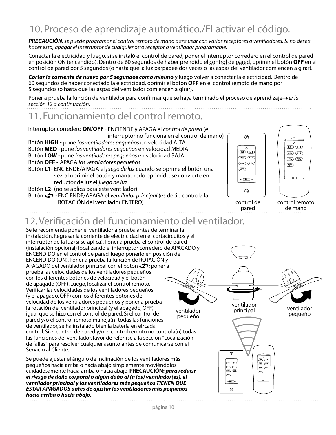### 10. Proceso de aprendizaje automático./El activar el código.

*PRECAUCIÓN: se puede programar el control remoto de mano para usar con varios receptores o ventiladores. Si no desea hacer esto, apagar el interruptor de cualquier otro receptor o ventilador programable.*

Conectar la electricidad y luego, si se instaló el control de pared, poner el interruptor corredero en el control de pared en posición ON (encendido). Dentro de 60 segundos de haber prendido el control de pared, oprimir el botón **OFF** en el control de pared por 5 segundos (o hasta que la luz parpadee dos veces o las aspas del ventilador comiencen a girar).

*Cortar la corriente de nuevo por 5 segundos como mínimo* y luego volver a conectar la electricidad. Dentro de 60 segundos de haber conectado la electricidad, oprimir el botón **OFF** en el control remoto de mano por 5 segundos (o hasta que las aspas del ventilador comiencen a girar).

Poner a prueba la función de ventilador para confirmar que se haya terminado el proceso de aprendizaje--*ver la sección 12 a continuación.*

#### 11. Funcionamiento del control remoto.





control de pared

 $\circ$ 



control remoto de mano

#### 12. Verificación del funcionamiento del ventilador.

Se le recomienda poner el ventilador a prueba antes de terminar la instalación. Regresar la corriente de electricidad en el cortacircuitos y el interruptor de la luz (si se aplica). Poner a prueba el control de pared (instalación opcional) localizando el interruptor corredero de APAGADO y ENCENDIDO en el control de pared, luego ponerlo en posición de ENCENDIDO (ON). Poner a prueba la función de ROTACIÓN y APAGADO del ventilador principal con el botón  $\clubsuit$ ; poner a prueba las velocidades de los ventiladores pequeños con los diferentes botones de velocidad y el botón de apagado (OFF). Luego, localizar el control remoto. Verificar las velocidades de los ventiladores pequeños (y el apagado, OFF) con los diferentes botones de velocidad de los ventiladores pequeños y poner a prueba ventilador la rotación del ventilador principal (y el apagado, OFF) principal ventilador ventilador igual que se hizo con el control de pared. Si el control de pequeño pequeño pared y/o el control remoto maneja(n) todas las funciones de ventilador, se ha instalado bien la batería en el/cada control. Si el control de pared y/o el control remoto no controla(n) todas las funciones del ventilador, favor de referirse a la sección "Localización de fallas" para resolver cualquier asunto antes de comunicarse con el Servicio al Cliente.  $\overline{\mathscr{D}}$ Se puede ajustar el ángulo de inclinación de los ventiladores más **-1 -<sup>2</sup> -1** pequeños hacia arriba o hacia abajo simplemente moviéndolos **-2** Cioyo CREY cuidadosamente hacia arriba o hacia abajo. **PRECAUCIÓN:** *para reducir*  (LOW) (REV)  $GFF$  $\overline{C}$ *el riesgo de daño corporal o algún daño al (a los) ventilador(es), el*   $\blacksquare$ *ventilador principal y los ventiladores más pequeños TIENEN QUE* 

*ESTAR APAGADOS antes de ajustar los ventiladores más pequeños hacia arriba o hacia abajo.*